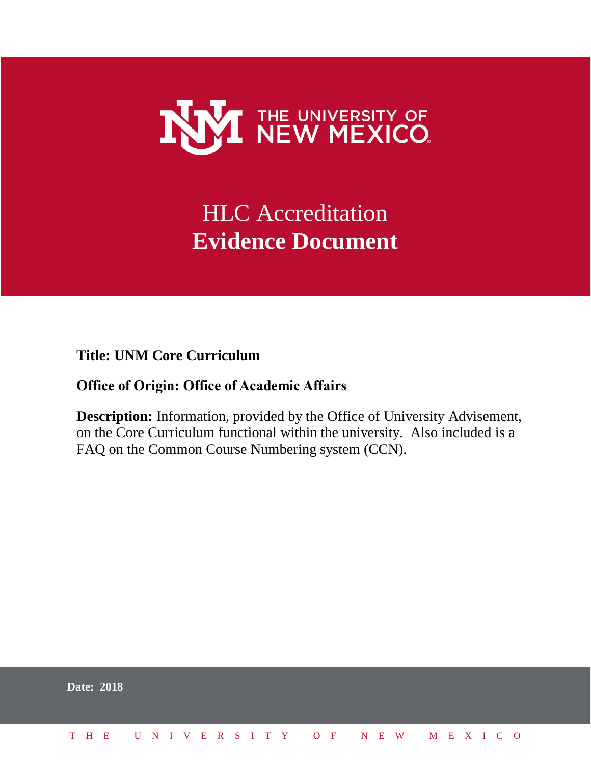

# HLC Accreditation **Evidence Document**

**Title: UNM Core Curriculum**

# **Office of Origin: Office of Academic Affairs**

**Description:** Information, provided by the Office of University Advisement, on the Core Curriculum functional within the university. Also included is a FAQ on the Common Course Numbering system (CCN).

| <b>Date: 2018</b>            |  |  |  |  |  |  |  |  |  |  |  |  |  |
|------------------------------|--|--|--|--|--|--|--|--|--|--|--|--|--|
| THE UNIVERSITY OF NEW MEXICO |  |  |  |  |  |  |  |  |  |  |  |  |  |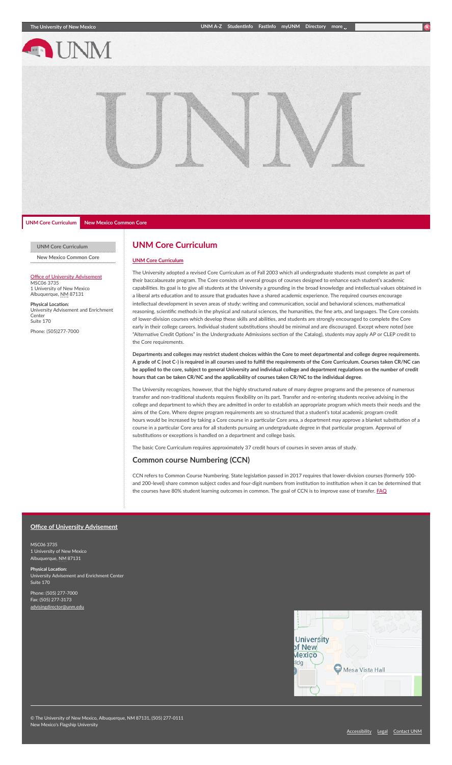

#### **UNM Core [Curriculum](https://unmcore.unm.edu/index.html)**

**New Mexico [Common](https://unmcore.unm.edu/new-mexico-lower-division-general-education-common-core.html) Core**

#### Office of University [Advisement](http://advisement.unm.edu/)

MSC06 3735 1 University of New Mexico Albuquerque, NM 87131

**Physical Location:**<br>University Advisement and Enrichment<br>Center Suite 170

Phone: (505)277-7000

### **UNM Core Curriculum**

#### **UNM Core [Curriculum](https://unmcore.unm.edu/common/images/core-sheet-2016-2017.pdf)**

The University adopted a revised Core Curriculum as of Fall 2003 which all undergraduate students must complete as part of their baccalaureate program. The Core consists of several groups of courses designed to enhance each student's academic capabilities. Its goal is to give all students at the University a grounding in the broad knowledge and intellectual values obtained in a liberal arts education and to assure that graduates have a shared academic experience. The required courses encourage intellectual development in seven areas of study: writing and communication, social and behavioral sciences, mathematical reasoning, scientific methods in the physical and natural sciences, the humanities, the fine arts, and languages. The Core consists of lower-division courses which develop these skills and abilities, and students are strongly encouraged to complete the Core early in their college careers. Individual student substitutions should be minimal and are discouraged. Except where noted (see "Alternative Credit Options" in the Undergraduate Admissions section of the Catalog), students may apply AP or CLEP credit to the Core requirements.

Departments and colleges may restrict student choices within the Core to meet departmental and college degree requirements. A grade of C (not C-) is required in all courses used to fulfill the requirements of the Core Curriculum. Courses taken CR/NC can be applied to the core, subject to general University and individual college and department regulations on the number of credit **hours that can be taken CR/NC and the applicability of courses taken CR/NC to the individual degree**.

The University recognizes, however, that the highly structured nature of many degree programs and the presence of numerous transfer and non-traditional students requires flexibility on its part. Transfer and re-entering students receive advising in the college and department to which they are admitted in order to establish an appropriate program which meets their needs and the aims of the Core. Where degree program requirements are so structured that a student's total academic program credit hours would be increased by taking a Core course in a particular Core area, a department may approve a blanket substitution of a course in a particular Core area for all students pursuing an undergraduate degree in that particular program. Approval of substitutions or exceptions is handled on a department and college basis.

The basic Core Curriculum requires approximately 37 credit hours of courses in seven areas of study.

### **Common course Numbering (CCN)**

CCN refers to Common Course Numbering. State legislation passed in 2017 requires that lower-division courses (formerly 100and 200-level) share common subject codes and four-digit numbers from institution to institution when it can be determined that the courses have 80% student learning outcomes in common. The goal of CCN is to improve ease of transfer. **[FAQ](https://unmcore.unm.edu/CCN%20FAQ%2011122018.pdf)** 

#### **Office of University Advisement**

MSC06 3735 1 University of New M  $\mathrm{u}$ e. NM 87131

**Physical Locati** ersity Advisement and Enrichment Center Suite 170

Phone: (505) 277-7000 Fax: (505) 277-3173 risingdirector@un

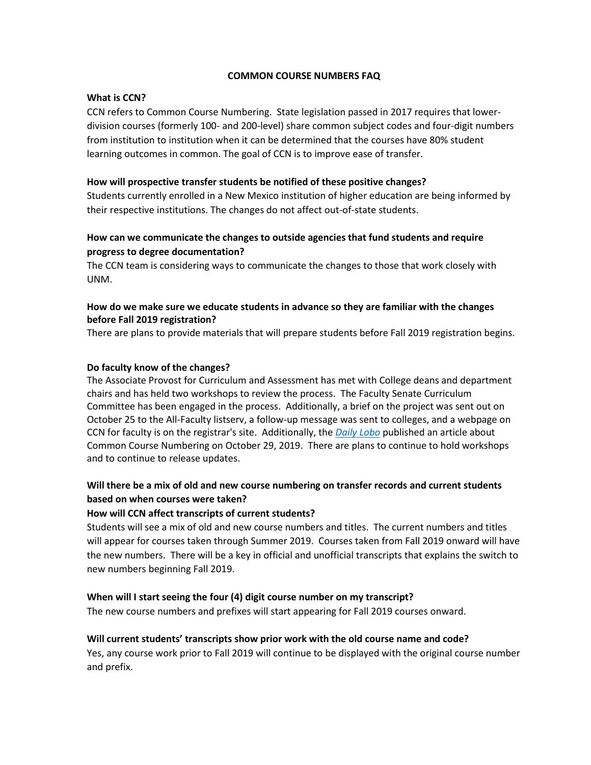### **COMMON COURSE NUMBERS FAQ**

### **What is CCN?**

CCN refers to Common Course Numbering. State legislation passed in 2017 requires that lowerdivision courses (formerly 100- and 200-level) share common subject codes and four-digit numbers from institution to institution when it can be determined that the courses have 80% student learning outcomes in common. The goal of CCN is to improve ease of transfer.

### **How will prospective transfer students be notified of these positive changes?**

Students currently enrolled in a New Mexico institution of higher education are being informed by their respective institutions. The changes do not affect out-of-state students.

### **How can we communicate the changes to outside agencies that fund students and require progress to degree documentation?**

The CCN team is considering ways to communicate the changes to those that work closely with UNM.

### **How do we make sure we educate students in advance so they are familiar with the changes before Fall 2019 registration?**

There are plans to provide materials that will prepare students before Fall 2019 registration begins.

### **Do faculty know of the changes?**

The Associate Provost for Curriculum and Assessment has met with College deans and department chairs and has held two workshops to review the process. The Faculty Senate Curriculum Committee has been engaged in the process. Additionally, a brief on the project was sent out on October 25 to the All-Faculty listserv, a follow-up message was sent to colleges, and a webpage on CCN for faculty is on the registrar's site. Additionally, the *[Daily Lobo](http://www.dailylobo.com/article/2018/10/unm-common-course-number-change)* published an article about Common Course Numbering on October 29, 2019. There are plans to continue to hold workshops and to continue to release updates.

## **Will there be a mix of old and new course numbering on transfer records and current students based on when courses were taken?**

### **How will CCN affect transcripts of current students?**

Students will see a mix of old and new course numbers and titles. The current numbers and titles will appear for courses taken through Summer 2019. Courses taken from Fall 2019 onward will have the new numbers. There will be a key in official and unofficial transcripts that explains the switch to new numbers beginning Fall 2019.

### **When will I start seeing the four (4) digit course number on my transcript?**

The new course numbers and prefixes will start appearing for Fall 2019 courses onward.

### **Will current students' transcripts show prior work with the old course name and code?**

Yes, any course work prior to Fall 2019 will continue to be displayed with the original course number and prefix.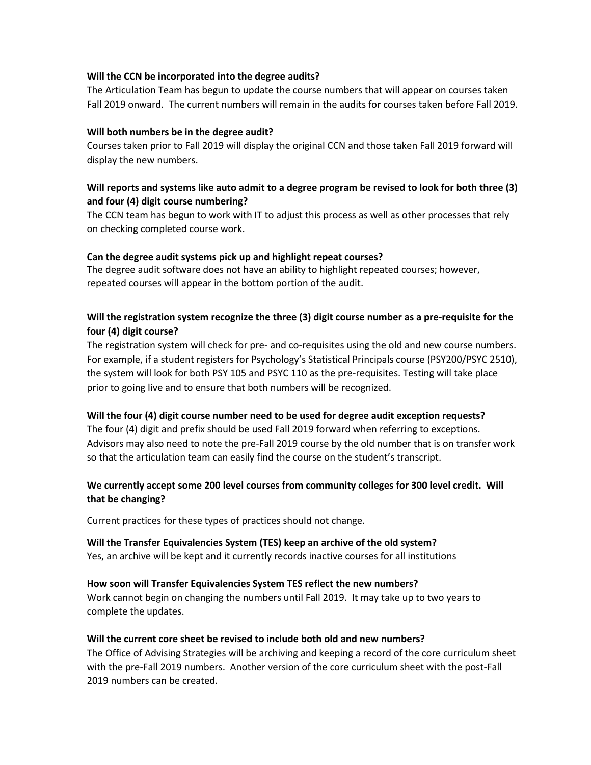### **Will the CCN be incorporated into the degree audits?**

The Articulation Team has begun to update the course numbers that will appear on courses taken Fall 2019 onward. The current numbers will remain in the audits for courses taken before Fall 2019.

### **Will both numbers be in the degree audit?**

Courses taken prior to Fall 2019 will display the original CCN and those taken Fall 2019 forward will display the new numbers.

### **Will reports and systems like auto admit to a degree program be revised to look for both three (3) and four (4) digit course numbering?**

The CCN team has begun to work with IT to adjust this process as well as other processes that rely on checking completed course work.

### **Can the degree audit systems pick up and highlight repeat courses?**

The degree audit software does not have an ability to highlight repeated courses; however, repeated courses will appear in the bottom portion of the audit.

### **Will the registration system recognize the three (3) digit course number as a pre-requisite for the four (4) digit course?**

The registration system will check for pre- and co-requisites using the old and new course numbers. For example, if a student registers for Psychology's Statistical Principals course (PSY200/PSYC 2510), the system will look for both PSY 105 and PSYC 110 as the pre-requisites. Testing will take place prior to going live and to ensure that both numbers will be recognized.

### **Will the four (4) digit course number need to be used for degree audit exception requests?**

The four (4) digit and prefix should be used Fall 2019 forward when referring to exceptions. Advisors may also need to note the pre-Fall 2019 course by the old number that is on transfer work so that the articulation team can easily find the course on the student's transcript.

### **We currently accept some 200 level courses from community colleges for 300 level credit. Will that be changing?**

Current practices for these types of practices should not change.

# **Will the Transfer Equivalencies System (TES) keep an archive of the old system?**

Yes, an archive will be kept and it currently records inactive courses for all institutions

### **How soon will Transfer Equivalencies System TES reflect the new numbers?**

Work cannot begin on changing the numbers until Fall 2019. It may take up to two years to complete the updates.

### **Will the current core sheet be revised to include both old and new numbers?**

The Office of Advising Strategies will be archiving and keeping a record of the core curriculum sheet with the pre-Fall 2019 numbers. Another version of the core curriculum sheet with the post-Fall 2019 numbers can be created.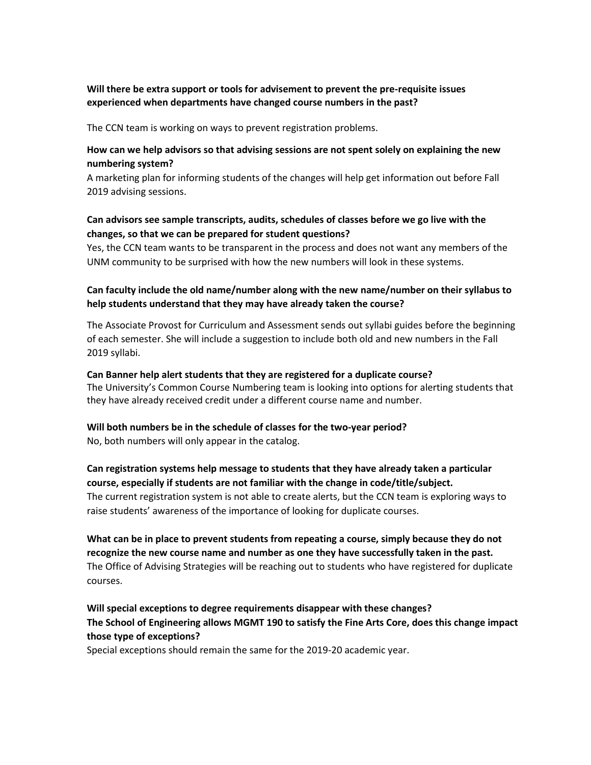### **Will there be extra support or tools for advisement to prevent the pre-requisite issues experienced when departments have changed course numbers in the past?**

The CCN team is working on ways to prevent registration problems.

### **How can we help advisors so that advising sessions are not spent solely on explaining the new numbering system?**

A marketing plan for informing students of the changes will help get information out before Fall 2019 advising sessions.

### **Can advisors see sample transcripts, audits, schedules of classes before we go live with the changes, so that we can be prepared for student questions?**

Yes, the CCN team wants to be transparent in the process and does not want any members of the UNM community to be surprised with how the new numbers will look in these systems.

### **Can faculty include the old name/number along with the new name/number on their syllabus to help students understand that they may have already taken the course?**

The Associate Provost for Curriculum and Assessment sends out syllabi guides before the beginning of each semester. She will include a suggestion to include both old and new numbers in the Fall 2019 syllabi.

### **Can Banner help alert students that they are registered for a duplicate course?**

The University's Common Course Numbering team is looking into options for alerting students that they have already received credit under a different course name and number.

### **Will both numbers be in the schedule of classes for the two-year period?**

No, both numbers will only appear in the catalog.

### **Can registration systems help message to students that they have already taken a particular course, especially if students are not familiar with the change in code/title/subject.**

The current registration system is not able to create alerts, but the CCN team is exploring ways to raise students' awareness of the importance of looking for duplicate courses.

# **What can be in place to prevent students from repeating a course, simply because they do not recognize the new course name and number as one they have successfully taken in the past.** The Office of Advising Strategies will be reaching out to students who have registered for duplicate courses.

# **Will special exceptions to degree requirements disappear with these changes? The School of Engineering allows MGMT 190 to satisfy the Fine Arts Core, does this change impact those type of exceptions?**

Special exceptions should remain the same for the 2019-20 academic year.